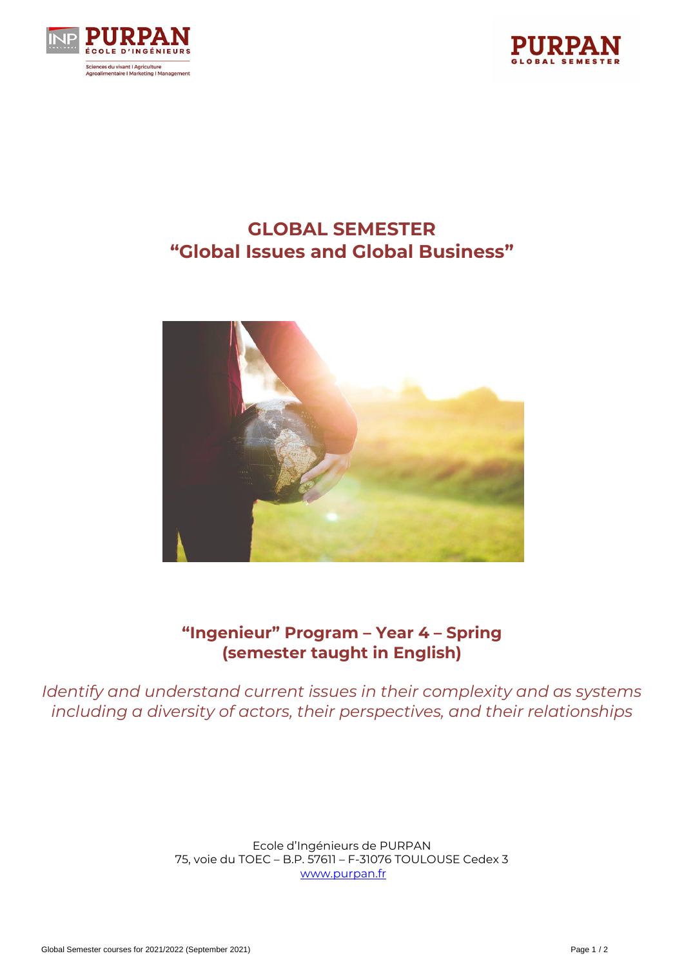



# **GLOBAL SEMESTER "Global Issues and Global Business"**



## **"Ingenieur" Program – Year 4 – Spring (semester taught in English)**

*Identify and understand current issues in their complexity and as systems including a diversity of actors, their perspectives, and their relationships*

> Ecole d'Ingénieurs de PURPAN 75, voie du TOEC – B.P. 57611 – F-31076 TOULOUSE Cedex 3 [www.purpan.fr](http://www.purpan.fr/)